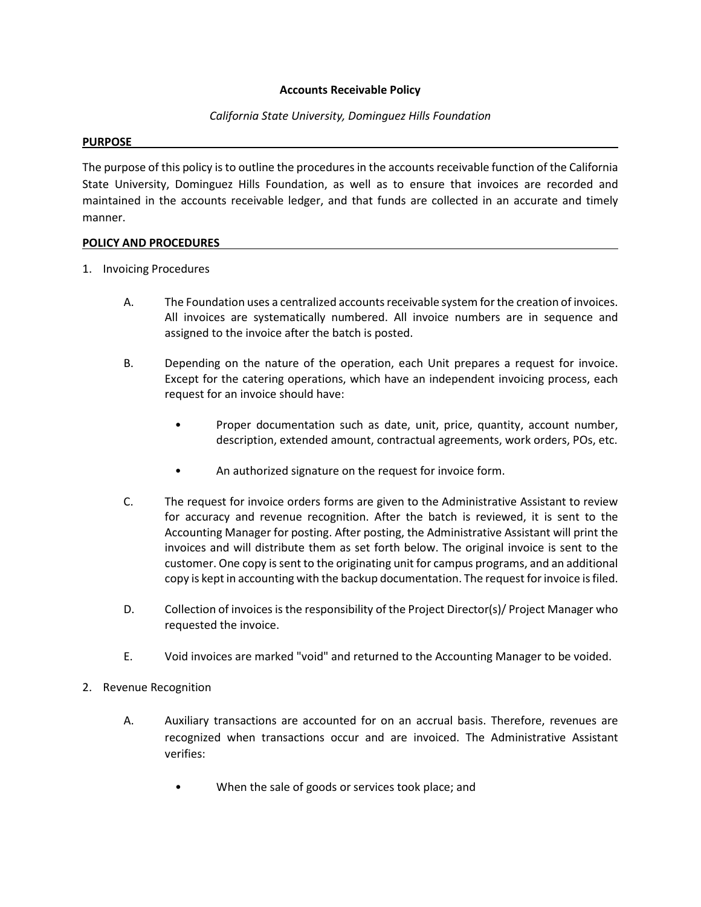## **Accounts Receivable Policy**

## *California State University, Dominguez Hills Foundation*

## **PURPOSE**

The purpose of this policy is to outline the procedures in the accounts receivable function of the California State University, Dominguez Hills Foundation, as well as to ensure that invoices are recorded and maintained in the accounts receivable ledger, and that funds are collected in an accurate and timely manner.

## **POLICY AND PROCEDURES**

- 1. Invoicing Procedures
	- A. The Foundation uses a centralized accounts receivable system for the creation of invoices. All invoices are systematically numbered. All invoice numbers are in sequence and assigned to the invoice after the batch is posted.
	- B. Depending on the nature of the operation, each Unit prepares a request for invoice. Except for the catering operations, which have an independent invoicing process, each request for an invoice should have:
		- Proper documentation such as date, unit, price, quantity, account number, description, extended amount, contractual agreements, work orders, POs, etc.
		- An authorized signature on the request for invoice form.
	- C. The request for invoice orders forms are given to the Administrative Assistant to review for accuracy and revenue recognition. After the batch is reviewed, it is sent to the Accounting Manager for posting. After posting, the Administrative Assistant will print the invoices and will distribute them as set forth below. The original invoice is sent to the customer. One copy is sent to the originating unit for campus programs, and an additional copy is kept in accounting with the backup documentation. The request for invoice is filed.
	- D. Collection of invoices is the responsibility of the Project Director(s)/ Project Manager who requested the invoice.
	- E. Void invoices are marked "void" and returned to the Accounting Manager to be voided.
- 2. Revenue Recognition
	- A. Auxiliary transactions are accounted for on an accrual basis. Therefore, revenues are recognized when transactions occur and are invoiced. The Administrative Assistant verifies:
		- When the sale of goods or services took place; and